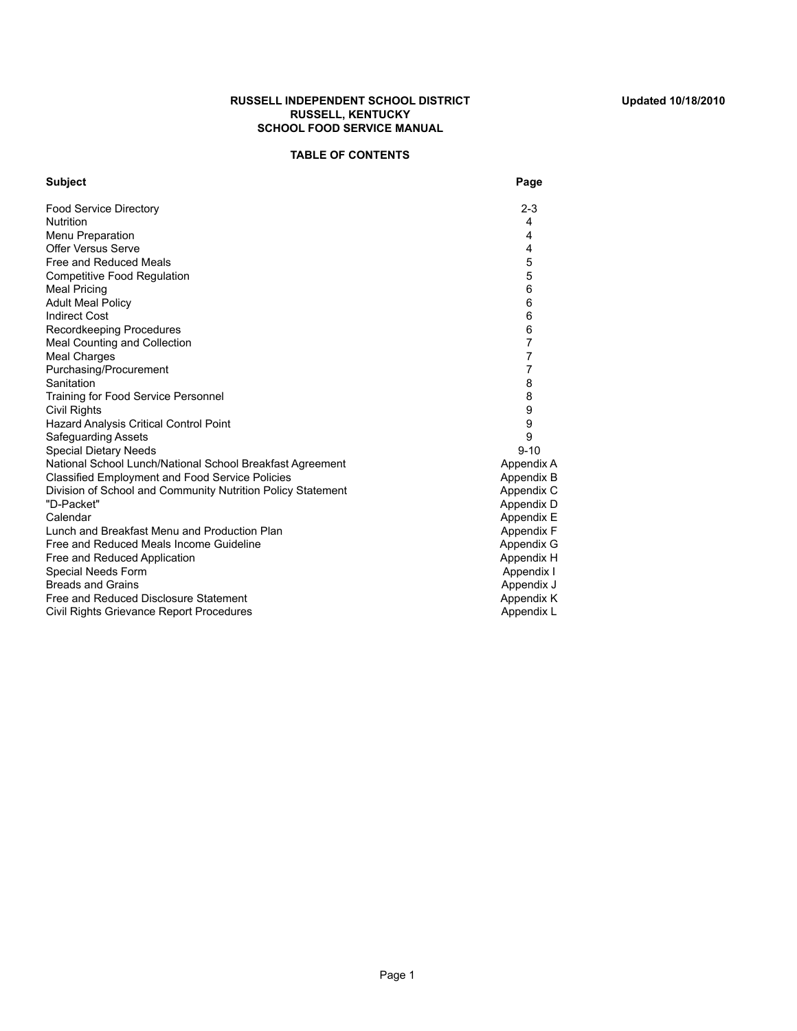# **RUSSELL INDEPENDENT SCHOOL DISTRICT Updated 10/18/2010 RUSSELL, KENTUCKY SCHOOL FOOD SERVICE MANUAL**

# **TABLE OF CONTENTS**

| <b>Subject</b>                                              | Page           |
|-------------------------------------------------------------|----------------|
| <b>Food Service Directory</b>                               | $2 - 3$        |
| <b>Nutrition</b>                                            | 4              |
| Menu Preparation                                            | 4              |
| <b>Offer Versus Serve</b>                                   | 4              |
| Free and Reduced Meals                                      | 5              |
| <b>Competitive Food Regulation</b>                          | 5              |
| <b>Meal Pricing</b>                                         | 6              |
| <b>Adult Meal Policy</b>                                    | 6              |
| <b>Indirect Cost</b>                                        | 6              |
| Recordkeeping Procedures                                    | 6              |
| Meal Counting and Collection                                | 7              |
| <b>Meal Charges</b>                                         | $\overline{7}$ |
| Purchasing/Procurement                                      | 7              |
| Sanitation                                                  | 8              |
| Training for Food Service Personnel                         | 8              |
| Civil Rights                                                | 9              |
| Hazard Analysis Critical Control Point                      | 9              |
| <b>Safeguarding Assets</b>                                  | 9              |
| <b>Special Dietary Needs</b>                                | $9 - 10$       |
| National School Lunch/National School Breakfast Agreement   | Appendix A     |
| <b>Classified Employment and Food Service Policies</b>      | Appendix B     |
| Division of School and Community Nutrition Policy Statement | Appendix C     |
| "D-Packet"                                                  | Appendix D     |
| Calendar                                                    | Appendix E     |
| Lunch and Breakfast Menu and Production Plan                | Appendix F     |
| Free and Reduced Meals Income Guideline                     | Appendix G     |
| Free and Reduced Application                                | Appendix H     |
| Special Needs Form                                          | Appendix I     |
| <b>Breads and Grains</b>                                    | Appendix J     |
| Free and Reduced Disclosure Statement                       | Appendix K     |
| Civil Rights Grievance Report Procedures                    | Appendix L     |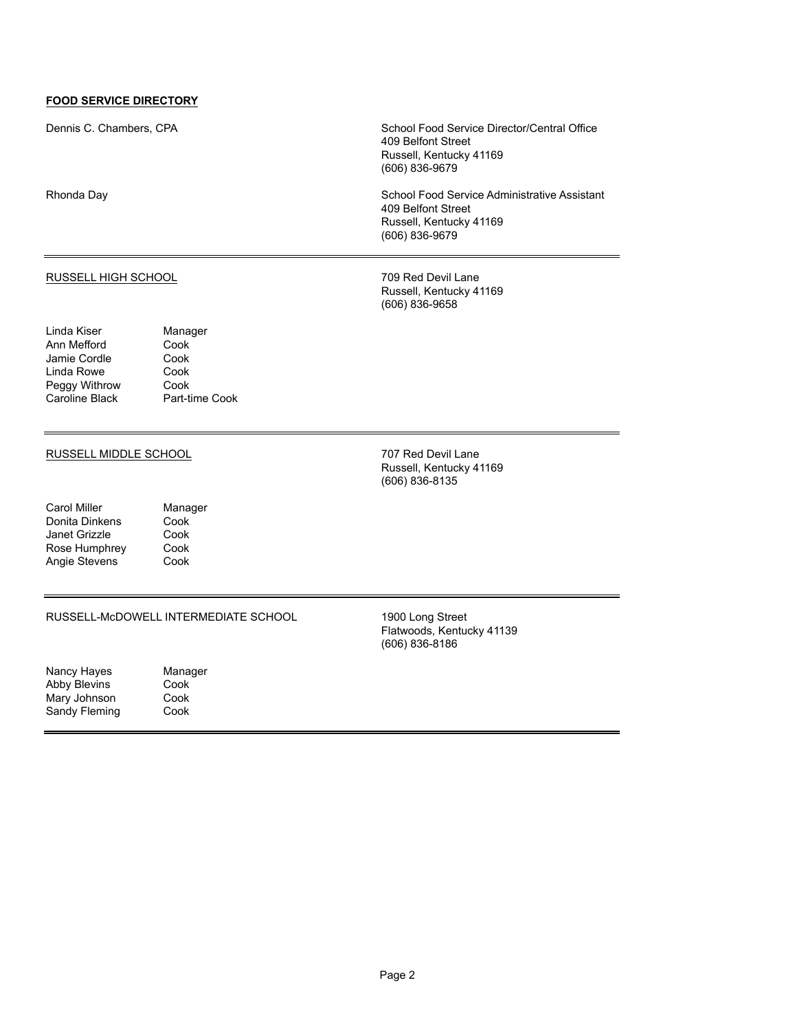# **FOOD SERVICE DIRECTORY**

Abby Blevins Cook Mary Johnson Cook Sandy Fleming Cook

| Dennis C. Chambers, CPA                                                                     |                                                           | School Food Service Director/Central Office<br>409 Belfont Street<br>Russell, Kentucky 41169<br>(606) 836-9679  |
|---------------------------------------------------------------------------------------------|-----------------------------------------------------------|-----------------------------------------------------------------------------------------------------------------|
| Rhonda Day                                                                                  |                                                           | School Food Service Administrative Assistant<br>409 Belfont Street<br>Russell, Kentucky 41169<br>(606) 836-9679 |
| <b>RUSSELL HIGH SCHOOL</b>                                                                  |                                                           | 709 Red Devil Lane<br>Russell, Kentucky 41169<br>(606) 836-9658                                                 |
| Linda Kiser<br>Ann Mefford<br>Jamie Cordle<br>Linda Rowe<br>Peggy Withrow<br>Caroline Black | Manager<br>Cook<br>Cook<br>Cook<br>Cook<br>Part-time Cook |                                                                                                                 |
| RUSSELL MIDDLE SCHOOL                                                                       |                                                           | 707 Red Devil Lane<br>Russell, Kentucky 41169<br>(606) 836-8135                                                 |
| <b>Carol Miller</b><br>Donita Dinkens<br>Janet Grizzle<br>Rose Humphrey<br>Angie Stevens    | Manager<br>Cook<br>Cook<br>Cook<br>Cook                   |                                                                                                                 |
|                                                                                             | RUSSELL-McDOWELL INTERMEDIATE SCHOOL                      | 1900 Long Street<br>Flatwoods, Kentucky 41139<br>(606) 836-8186                                                 |
| Nancy Hayes                                                                                 | Manager                                                   |                                                                                                                 |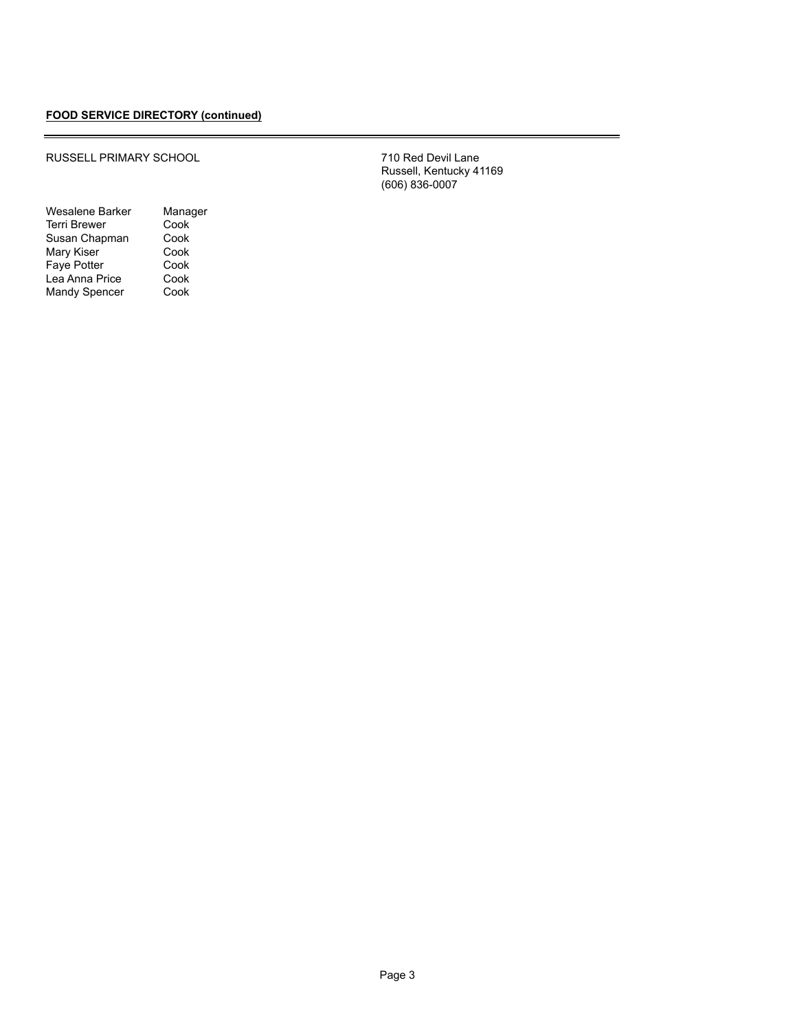# RUSSELL PRIMARY SCHOOL

| Wesalene Barker      | Manager |
|----------------------|---------|
| <b>Terri Brewer</b>  | Cook    |
| Susan Chapman        | Cook    |
| Mary Kiser           | Cook    |
| <b>Fave Potter</b>   | Cook    |
| Lea Anna Price       | Cook    |
| <b>Mandy Spencer</b> | Cook    |
|                      |         |

Russell, Kentucky 41169 (606) 836-0007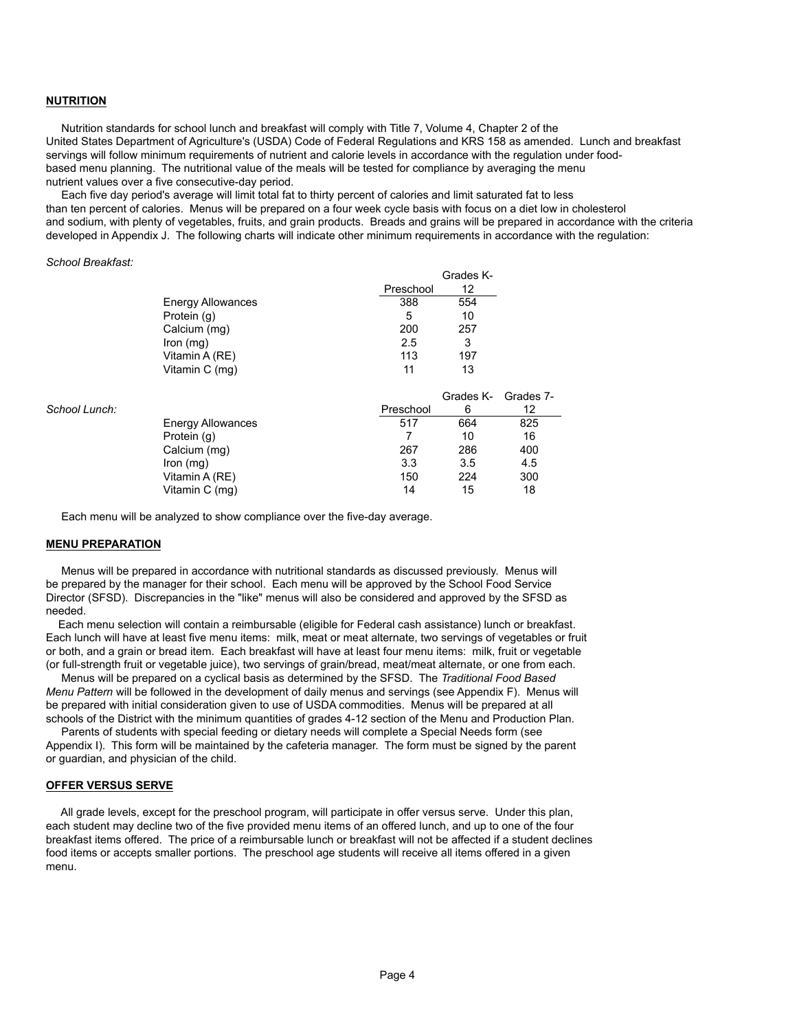## **NUTRITION**

 Nutrition standards for school lunch and breakfast will comply with Title 7, Volume 4, Chapter 2 of the United States Department of Agriculture's (USDA) Code of Federal Regulations and KRS 158 as amended. Lunch and breakfast servings will follow minimum requirements of nutrient and calorie levels in accordance with the regulation under foodbased menu planning. The nutritional value of the meals will be tested for compliance by averaging the menu nutrient values over a five consecutive-day period.

 Each five day period's average will limit total fat to thirty percent of calories and limit saturated fat to less than ten percent of calories. Menus will be prepared on a four week cycle basis with focus on a diet low in cholesterol and sodium, with plenty of vegetables, fruits, and grain products. Breads and grains will be prepared in accordance with the criteria developed in Appendix J. The following charts will indicate other minimum requirements in accordance with the regulation:

Grades K-

#### *School Breakfast:*

|               |                          |           | Grades K- |           |
|---------------|--------------------------|-----------|-----------|-----------|
|               |                          | Preschool | 12        |           |
|               | <b>Energy Allowances</b> | 388       | 554       |           |
|               | Protein (g)              | 5         | 10        |           |
|               | Calcium (mg)             | 200       | 257       |           |
|               | $lron$ (mg)              | 2.5       | 3         |           |
|               | Vitamin A (RE)           | 113       | 197       |           |
|               | Vitamin C (mg)           | 11        | 13        |           |
|               |                          |           | Grades K- | Grades 7- |
| School Lunch: |                          | Preschool | 6         | 12        |
|               | <b>Energy Allowances</b> | 517       | 664       | 825       |
|               | Protein (g)              |           | 10        | 16        |
|               | Calcium (mg)             | 267       | 286       | 400       |
|               | $lron$ (mg)              | 3.3       | 3.5       | 4.5       |
|               | Vitamin A (RE)           | 150       | 224       | 300       |
|               | Vitamin C (mg)           | 14        | 15        | 18        |
|               |                          |           |           |           |

Each menu will be analyzed to show compliance over the five-day average.

# **MENU PREPARATION**

 Menus will be prepared in accordance with nutritional standards as discussed previously. Menus will be prepared by the manager for their school. Each menu will be approved by the School Food Service Director (SFSD). Discrepancies in the "like" menus will also be considered and approved by the SFSD as needed.

 Each menu selection will contain a reimbursable (eligible for Federal cash assistance) lunch or breakfast. Each lunch will have at least five menu items: milk, meat or meat alternate, two servings of vegetables or fruit or both, and a grain or bread item. Each breakfast will have at least four menu items: milk, fruit or vegetable (or full-strength fruit or vegetable juice), two servings of grain/bread, meat/meat alternate, or one from each.

 Menus will be prepared on a cyclical basis as determined by the SFSD. The *Traditional Food Based Menu Pattern* will be followed in the development of daily menus and servings (see Appendix F). Menus will be prepared with initial consideration given to use of USDA commodities. Menus will be prepared at all schools of the District with the minimum quantities of grades 4-12 section of the Menu and Production Plan.

 Parents of students with special feeding or dietary needs will complete a Special Needs form (see Appendix I). This form will be maintained by the cafeteria manager. The form must be signed by the parent or guardian, and physician of the child.

#### **OFFER VERSUS SERVE**

 All grade levels, except for the preschool program, will participate in offer versus serve. Under this plan, each student may decline two of the five provided menu items of an offered lunch, and up to one of the four breakfast items offered. The price of a reimbursable lunch or breakfast will not be affected if a student declines food items or accepts smaller portions. The preschool age students will receive all items offered in a given menu.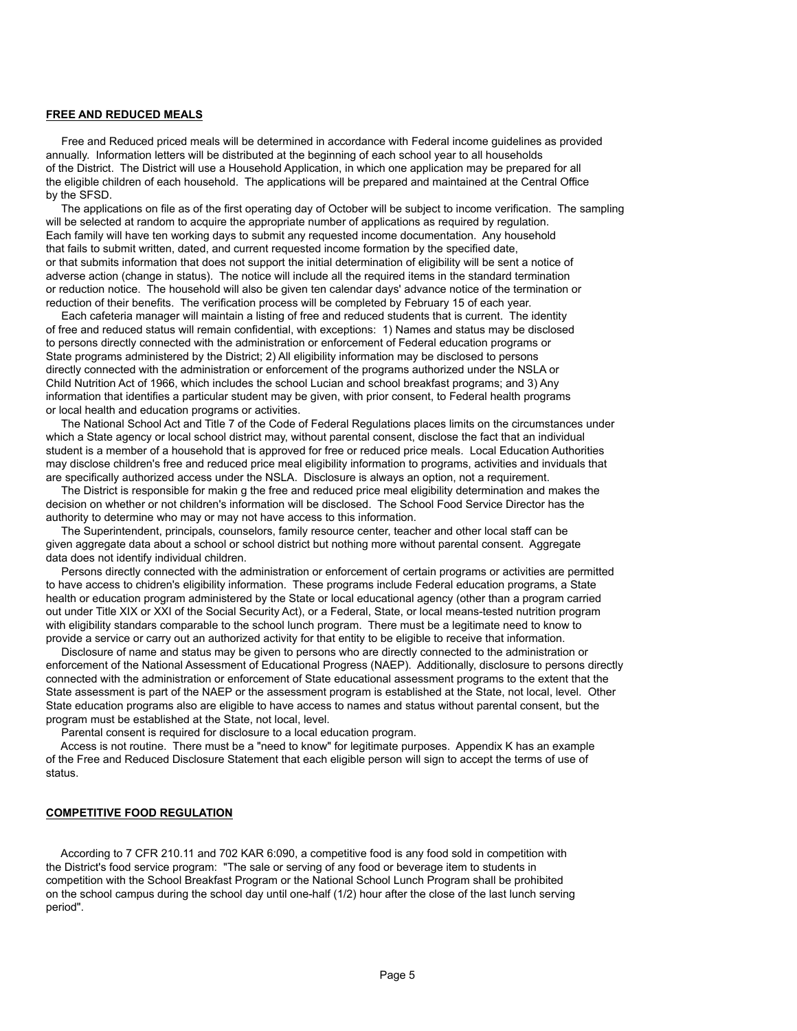## **FREE AND REDUCED MEALS**

 Free and Reduced priced meals will be determined in accordance with Federal income guidelines as provided annually. Information letters will be distributed at the beginning of each school year to all households of the District. The District will use a Household Application, in which one application may be prepared for all the eligible children of each household. The applications will be prepared and maintained at the Central Office by the SFSD.

 The applications on file as of the first operating day of October will be subject to income verification. The sampling will be selected at random to acquire the appropriate number of applications as required by regulation. Each family will have ten working days to submit any requested income documentation. Any household that fails to submit written, dated, and current requested income formation by the specified date, or that submits information that does not support the initial determination of eligibility will be sent a notice of adverse action (change in status). The notice will include all the required items in the standard termination or reduction notice. The household will also be given ten calendar days' advance notice of the termination or reduction of their benefits. The verification process will be completed by February 15 of each year.

 Each cafeteria manager will maintain a listing of free and reduced students that is current. The identity of free and reduced status will remain confidential, with exceptions: 1) Names and status may be disclosed to persons directly connected with the administration or enforcement of Federal education programs or State programs administered by the District; 2) All eligibility information may be disclosed to persons directly connected with the administration or enforcement of the programs authorized under the NSLA or Child Nutrition Act of 1966, which includes the school Lucian and school breakfast programs; and 3) Any information that identifies a particular student may be given, with prior consent, to Federal health programs or local health and education programs or activities.

 The National School Act and Title 7 of the Code of Federal Regulations places limits on the circumstances under which a State agency or local school district may, without parental consent, disclose the fact that an individual student is a member of a household that is approved for free or reduced price meals. Local Education Authorities may disclose children's free and reduced price meal eligibility information to programs, activities and inviduals that are specifically authorized access under the NSLA. Disclosure is always an option, not a requirement.

 The District is responsible for makin g the free and reduced price meal eligibility determination and makes the decision on whether or not children's information will be disclosed. The School Food Service Director has the authority to determine who may or may not have access to this information.

 The Superintendent, principals, counselors, family resource center, teacher and other local staff can be given aggregate data about a school or school district but nothing more without parental consent. Aggregate data does not identify individual children.

 Persons directly connected with the administration or enforcement of certain programs or activities are permitted to have access to chidren's eligibility information. These programs include Federal education programs, a State health or education program administered by the State or local educational agency (other than a program carried out under Title XIX or XXI of the Social Security Act), or a Federal, State, or local means-tested nutrition program with eligibility standars comparable to the school lunch program. There must be a legitimate need to know to provide a service or carry out an authorized activity for that entity to be eligible to receive that information.

 Disclosure of name and status may be given to persons who are directly connected to the administration or enforcement of the National Assessment of Educational Progress (NAEP). Additionally, disclosure to persons directly connected with the administration or enforcement of State educational assessment programs to the extent that the State assessment is part of the NAEP or the assessment program is established at the State, not local, level. Other State education programs also are eligible to have access to names and status without parental consent, but the program must be established at the State, not local, level.

Parental consent is required for disclosure to a local education program.

 Access is not routine. There must be a "need to know" for legitimate purposes. Appendix K has an example of the Free and Reduced Disclosure Statement that each eligible person will sign to accept the terms of use of status.

#### **COMPETITIVE FOOD REGULATION**

 According to 7 CFR 210.11 and 702 KAR 6:090, a competitive food is any food sold in competition with the District's food service program: "The sale or serving of any food or beverage item to students in competition with the School Breakfast Program or the National School Lunch Program shall be prohibited on the school campus during the school day until one-half (1/2) hour after the close of the last lunch serving period".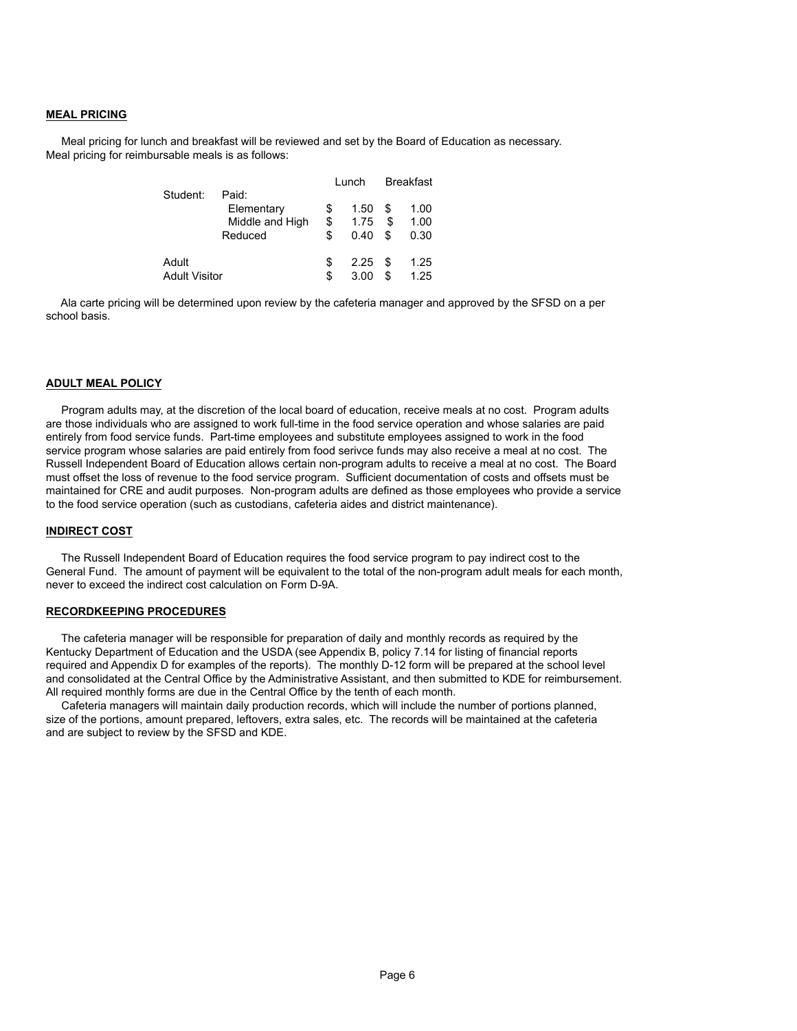# **MEAL PRICING**

 Meal pricing for lunch and breakfast will be reviewed and set by the Board of Education as necessary. Meal pricing for reimbursable meals is as follows:

|               |                 | Lunch |      | <b>Breakfast</b> |      |
|---------------|-----------------|-------|------|------------------|------|
| Student:      | Paid:           |       |      |                  |      |
|               | Elementary      | \$    | 1.50 | S                | 1.00 |
|               | Middle and High | \$    | 1.75 | \$               | 1.00 |
|               | Reduced         | \$    | 0.40 | \$               | 0.30 |
|               |                 |       |      |                  |      |
| Adult         |                 | S     | 2.25 | S                | 1.25 |
| Adult Visitor |                 | \$    | 3.00 | \$               | 1.25 |

 Ala carte pricing will be determined upon review by the cafeteria manager and approved by the SFSD on a per school basis.

# **ADULT MEAL POLICY**

 Program adults may, at the discretion of the local board of education, receive meals at no cost. Program adults are those individuals who are assigned to work full-time in the food service operation and whose salaries are paid entirely from food service funds. Part-time employees and substitute employees assigned to work in the food service program whose salaries are paid entirely from food serivce funds may also receive a meal at no cost. The Russell Independent Board of Education allows certain non-program adults to receive a meal at no cost. The Board must offset the loss of revenue to the food service program. Sufficient documentation of costs and offsets must be maintained for CRE and audit purposes. Non-program adults are defined as those employees who provide a service to the food service operation (such as custodians, cafeteria aides and district maintenance).

# **INDIRECT COST**

 The Russell Independent Board of Education requires the food service program to pay indirect cost to the General Fund. The amount of payment will be equivalent to the total of the non-program adult meals for each month, never to exceed the indirect cost calculation on Form D-9A.

#### **RECORDKEEPING PROCEDURES**

 The cafeteria manager will be responsible for preparation of daily and monthly records as required by the Kentucky Department of Education and the USDA (see Appendix B, policy 7.14 for listing of financial reports required and Appendix D for examples of the reports). The monthly D-12 form will be prepared at the school level and consolidated at the Central Office by the Administrative Assistant, and then submitted to KDE for reimbursement. All required monthly forms are due in the Central Office by the tenth of each month.

 Cafeteria managers will maintain daily production records, which will include the number of portions planned, size of the portions, amount prepared, leftovers, extra sales, etc. The records will be maintained at the cafeteria and are subject to review by the SFSD and KDE.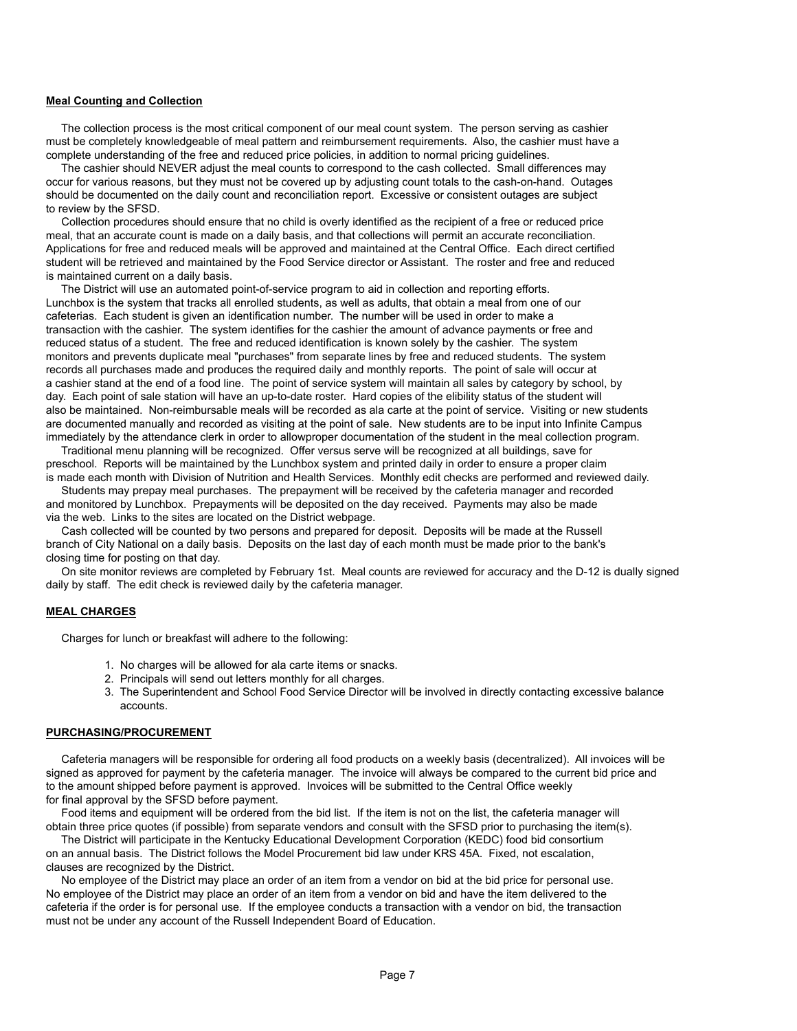## **Meal Counting and Collection**

 The collection process is the most critical component of our meal count system. The person serving as cashier must be completely knowledgeable of meal pattern and reimbursement requirements. Also, the cashier must have a complete understanding of the free and reduced price policies, in addition to normal pricing guidelines.

 The cashier should NEVER adjust the meal counts to correspond to the cash collected. Small differences may occur for various reasons, but they must not be covered up by adjusting count totals to the cash-on-hand. Outages should be documented on the daily count and reconciliation report. Excessive or consistent outages are subject to review by the SFSD.

 Collection procedures should ensure that no child is overly identified as the recipient of a free or reduced price meal, that an accurate count is made on a daily basis, and that collections will permit an accurate reconciliation. Applications for free and reduced meals will be approved and maintained at the Central Office. Each direct certified student will be retrieved and maintained by the Food Service director or Assistant. The roster and free and reduced is maintained current on a daily basis.

 The District will use an automated point-of-service program to aid in collection and reporting efforts. Lunchbox is the system that tracks all enrolled students, as well as adults, that obtain a meal from one of our cafeterias. Each student is given an identification number. The number will be used in order to make a transaction with the cashier. The system identifies for the cashier the amount of advance payments or free and reduced status of a student. The free and reduced identification is known solely by the cashier. The system monitors and prevents duplicate meal "purchases" from separate lines by free and reduced students. The system records all purchases made and produces the required daily and monthly reports. The point of sale will occur at a cashier stand at the end of a food line. The point of service system will maintain all sales by category by school, by day. Each point of sale station will have an up-to-date roster. Hard copies of the elibility status of the student will also be maintained. Non-reimbursable meals will be recorded as ala carte at the point of service. Visiting or new students are documented manually and recorded as visiting at the point of sale. New students are to be input into Infinite Campus immediately by the attendance clerk in order to allowproper documentation of the student in the meal collection program.

 Traditional menu planning will be recognized. Offer versus serve will be recognized at all buildings, save for preschool. Reports will be maintained by the Lunchbox system and printed daily in order to ensure a proper claim is made each month with Division of Nutrition and Health Services. Monthly edit checks are performed and reviewed daily.

 Students may prepay meal purchases. The prepayment will be received by the cafeteria manager and recorded and monitored by Lunchbox. Prepayments will be deposited on the day received. Payments may also be made via the web. Links to the sites are located on the District webpage.

 Cash collected will be counted by two persons and prepared for deposit. Deposits will be made at the Russell branch of City National on a daily basis. Deposits on the last day of each month must be made prior to the bank's closing time for posting on that day.

 On site monitor reviews are completed by February 1st. Meal counts are reviewed for accuracy and the D-12 is dually signed daily by staff. The edit check is reviewed daily by the cafeteria manager.

# **MEAL CHARGES**

Charges for lunch or breakfast will adhere to the following:

- 1. No charges will be allowed for ala carte items or snacks.
- 2. Principals will send out letters monthly for all charges.
- 3. The Superintendent and School Food Service Director will be involved in directly contacting excessive balance accounts.

#### **PURCHASING/PROCUREMENT**

 Cafeteria managers will be responsible for ordering all food products on a weekly basis (decentralized). All invoices will be signed as approved for payment by the cafeteria manager. The invoice will always be compared to the current bid price and to the amount shipped before payment is approved. Invoices will be submitted to the Central Office weekly for final approval by the SFSD before payment.

 Food items and equipment will be ordered from the bid list. If the item is not on the list, the cafeteria manager will obtain three price quotes (if possible) from separate vendors and consult with the SFSD prior to purchasing the item(s).

 The District will participate in the Kentucky Educational Development Corporation (KEDC) food bid consortium on an annual basis. The District follows the Model Procurement bid law under KRS 45A. Fixed, not escalation, clauses are recognized by the District.

 No employee of the District may place an order of an item from a vendor on bid at the bid price for personal use. No employee of the District may place an order of an item from a vendor on bid and have the item delivered to the cafeteria if the order is for personal use. If the employee conducts a transaction with a vendor on bid, the transaction must not be under any account of the Russell Independent Board of Education.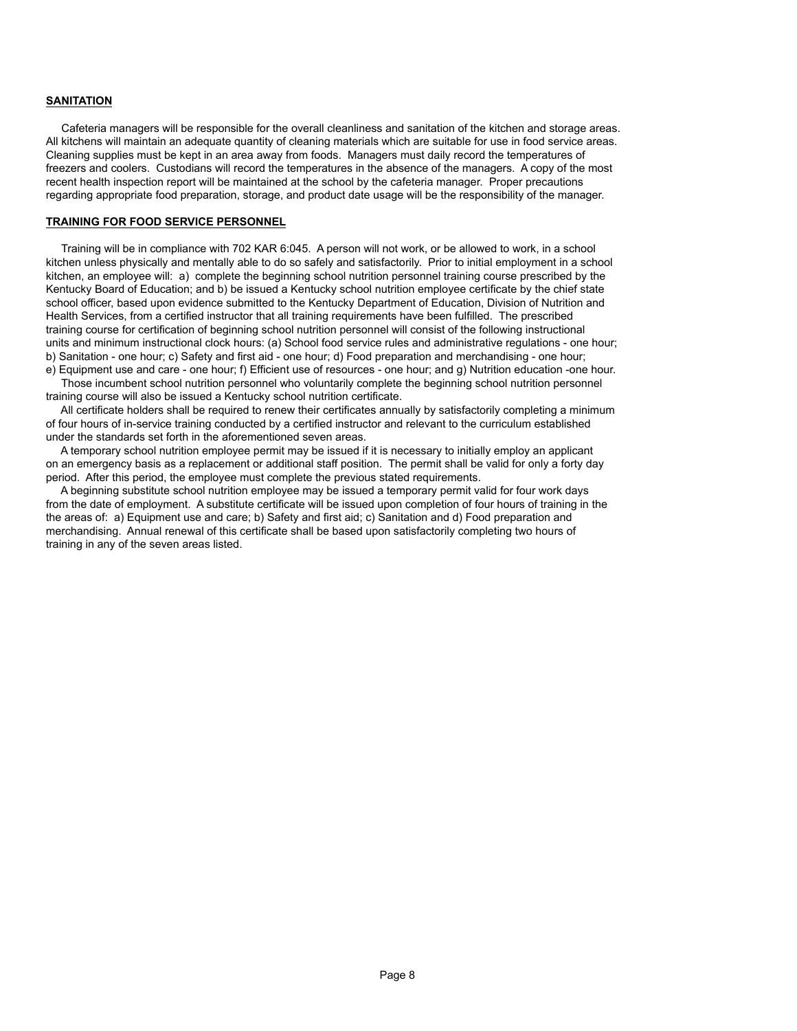# **SANITATION**

 Cafeteria managers will be responsible for the overall cleanliness and sanitation of the kitchen and storage areas. All kitchens will maintain an adequate quantity of cleaning materials which are suitable for use in food service areas. Cleaning supplies must be kept in an area away from foods. Managers must daily record the temperatures of freezers and coolers. Custodians will record the temperatures in the absence of the managers. A copy of the most recent health inspection report will be maintained at the school by the cafeteria manager. Proper precautions regarding appropriate food preparation, storage, and product date usage will be the responsibility of the manager.

# **TRAINING FOR FOOD SERVICE PERSONNEL**

 Training will be in compliance with 702 KAR 6:045. A person will not work, or be allowed to work, in a school kitchen unless physically and mentally able to do so safely and satisfactorily. Prior to initial employment in a school kitchen, an employee will: a) complete the beginning school nutrition personnel training course prescribed by the Kentucky Board of Education; and b) be issued a Kentucky school nutrition employee certificate by the chief state school officer, based upon evidence submitted to the Kentucky Department of Education, Division of Nutrition and Health Services, from a certified instructor that all training requirements have been fulfilled. The prescribed training course for certification of beginning school nutrition personnel will consist of the following instructional units and minimum instructional clock hours: (a) School food service rules and administrative regulations - one hour; b) Sanitation - one hour; c) Safety and first aid - one hour; d) Food preparation and merchandising - one hour;

e) Equipment use and care - one hour; f) Efficient use of resources - one hour; and g) Nutrition education -one hour. Those incumbent school nutrition personnel who voluntarily complete the beginning school nutrition personnel training course will also be issued a Kentucky school nutrition certificate.

 All certificate holders shall be required to renew their certificates annually by satisfactorily completing a minimum of four hours of in-service training conducted by a certified instructor and relevant to the curriculum established under the standards set forth in the aforementioned seven areas.

 A temporary school nutrition employee permit may be issued if it is necessary to initially employ an applicant on an emergency basis as a replacement or additional staff position. The permit shall be valid for only a forty day period. After this period, the employee must complete the previous stated requirements.

 A beginning substitute school nutrition employee may be issued a temporary permit valid for four work days from the date of employment. A substitute certificate will be issued upon completion of four hours of training in the the areas of: a) Equipment use and care; b) Safety and first aid; c) Sanitation and d) Food preparation and merchandising. Annual renewal of this certificate shall be based upon satisfactorily completing two hours of training in any of the seven areas listed.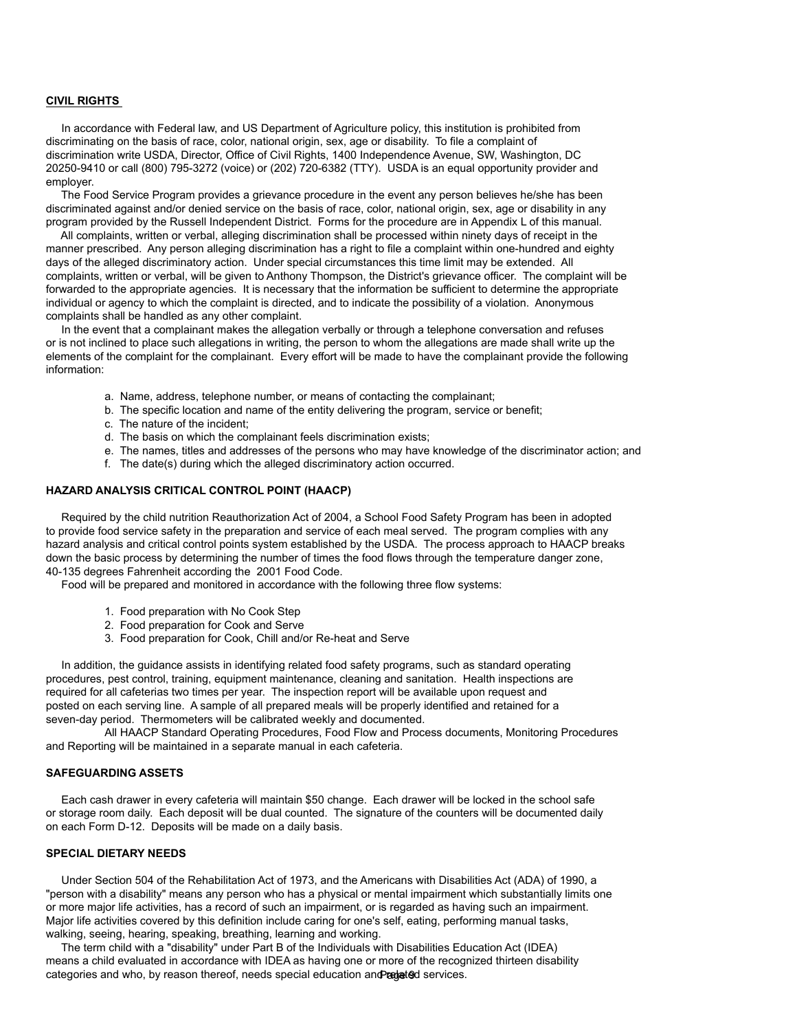## **CIVIL RIGHTS**

 In accordance with Federal law, and US Department of Agriculture policy, this institution is prohibited from discriminating on the basis of race, color, national origin, sex, age or disability. To file a complaint of discrimination write USDA, Director, Office of Civil Rights, 1400 Independence Avenue, SW, Washington, DC 20250-9410 or call (800) 795-3272 (voice) or (202) 720-6382 (TTY). USDA is an equal opportunity provider and employer.

 The Food Service Program provides a grievance procedure in the event any person believes he/she has been discriminated against and/or denied service on the basis of race, color, national origin, sex, age or disability in any program provided by the Russell Independent District. Forms for the procedure are in Appendix L of this manual.

 All complaints, written or verbal, alleging discrimination shall be processed within ninety days of receipt in the manner prescribed. Any person alleging discrimination has a right to file a complaint within one-hundred and eighty days of the alleged discriminatory action. Under special circumstances this time limit may be extended. All complaints, written or verbal, will be given to Anthony Thompson, the District's grievance officer. The complaint will be forwarded to the appropriate agencies. It is necessary that the information be sufficient to determine the appropriate individual or agency to which the complaint is directed, and to indicate the possibility of a violation. Anonymous complaints shall be handled as any other complaint.

 In the event that a complainant makes the allegation verbally or through a telephone conversation and refuses or is not inclined to place such allegations in writing, the person to whom the allegations are made shall write up the elements of the complaint for the complainant. Every effort will be made to have the complainant provide the following information:

- a. Name, address, telephone number, or means of contacting the complainant;
- b. The specific location and name of the entity delivering the program, service or benefit;
- c. The nature of the incident;
- d. The basis on which the complainant feels discrimination exists;
- e. The names, titles and addresses of the persons who may have knowledge of the discriminator action; and
- f. The date(s) during which the alleged discriminatory action occurred.

## **HAZARD ANALYSIS CRITICAL CONTROL POINT (HAACP)**

 Required by the child nutrition Reauthorization Act of 2004, a School Food Safety Program has been in adopted to provide food service safety in the preparation and service of each meal served. The program complies with any hazard analysis and critical control points system established by the USDA. The process approach to HAACP breaks down the basic process by determining the number of times the food flows through the temperature danger zone, 40-135 degrees Fahrenheit according the 2001 Food Code.

Food will be prepared and monitored in accordance with the following three flow systems:

- 1. Food preparation with No Cook Step
- 2. Food preparation for Cook and Serve
- 3. Food preparation for Cook, Chill and/or Re-heat and Serve

 In addition, the guidance assists in identifying related food safety programs, such as standard operating procedures, pest control, training, equipment maintenance, cleaning and sanitation. Health inspections are required for all cafeterias two times per year. The inspection report will be available upon request and posted on each serving line. A sample of all prepared meals will be properly identified and retained for a seven-day period. Thermometers will be calibrated weekly and documented.

All HAACP Standard Operating Procedures, Food Flow and Process documents, Monitoring Procedures and Reporting will be maintained in a separate manual in each cafeteria.

# **SAFEGUARDING ASSETS**

 Each cash drawer in every cafeteria will maintain \$50 change. Each drawer will be locked in the school safe or storage room daily. Each deposit will be dual counted. The signature of the counters will be documented daily on each Form D-12. Deposits will be made on a daily basis.

# **SPECIAL DIETARY NEEDS**

 Under Section 504 of the Rehabilitation Act of 1973, and the Americans with Disabilities Act (ADA) of 1990, a "person with a disability" means any person who has a physical or mental impairment which substantially limits one or more major life activities, has a record of such an impairment, or is regarded as having such an impairment. Major life activities covered by this definition include caring for one's self, eating, performing manual tasks, walking, seeing, hearing, speaking, breathing, learning and working.

categories and who, by reason thereof, needs special education and redet of services. The term child with a "disability" under Part B of the Individuals with Disabilities Education Act (IDEA) means a child evaluated in accordance with IDEA as having one or more of the recognized thirteen disability